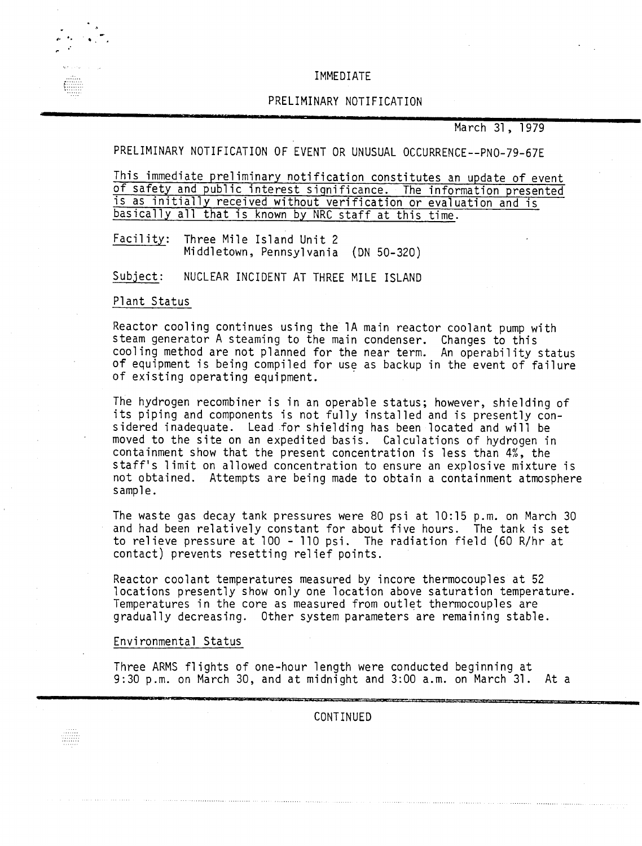### IMMEDIATE

## PRELIMINARY NOTIFICATION

March 31, 1979

PRELIMINARY NOTIFICATION OF EVENT OR UNUSUAL OCCURRENCE--PNO-79-67E

This immediate preliminary notification constitutes an update of event of safety and public interest significance. The information presented is as initially received without verification or evaluation and is basically all that is known by NRC staff at this time.

Facility: Three Mile Island Unit 2 Middletown, Pennsylvania (ON 50-320)

Subject: NUCLEAR INCIDENT AT THREE MILE ISLAND

### Plant Status

Reactor cooling continues using the lA main reactor coolant pump with steam generator A steaming to the main condenser. Changes to this cooling method are not planned for the near term. An operability status of equipment is being compiled for use as backup in the event of failure of existing operating equipment. .

The hydrogen recombiner is in an operable status; however, shielding of its piping and components is not fully installed and is presently considered inadequate. Lead for shielding has been located and will be moved to the site on an expedited basis. Calculations of hydrogen in containment show that the present concentration is less than 4%, the staff's limit on allowed concentration to ensure an explosive mixture is not obtained. Attempts are being made to obtain a containment atmosphere sample.

The waste gas decay tank pressures were 80 psi at 10:15 p.m. on March 30 and had been relatively constant for about five hours. The tank is set to relieve pressure at 100 - 110 psi. The radiation field (60 R/hr at contact) prevents resetting relief points.

Reactor coolant temperatures measured by incore thermocouples at 52 locations presently show only one location above saturation temperature. Temperatures in the core as measured from outlet thermocouples are gradually decreasing. Other system parameters are remaining stable.

### Environmental Status

Three ARMS flights of one-hour length were conducted beginning at 9:30 p.m. on March 30, and at midnight and 3:00 a.m. on March 31. At a

CONTINUED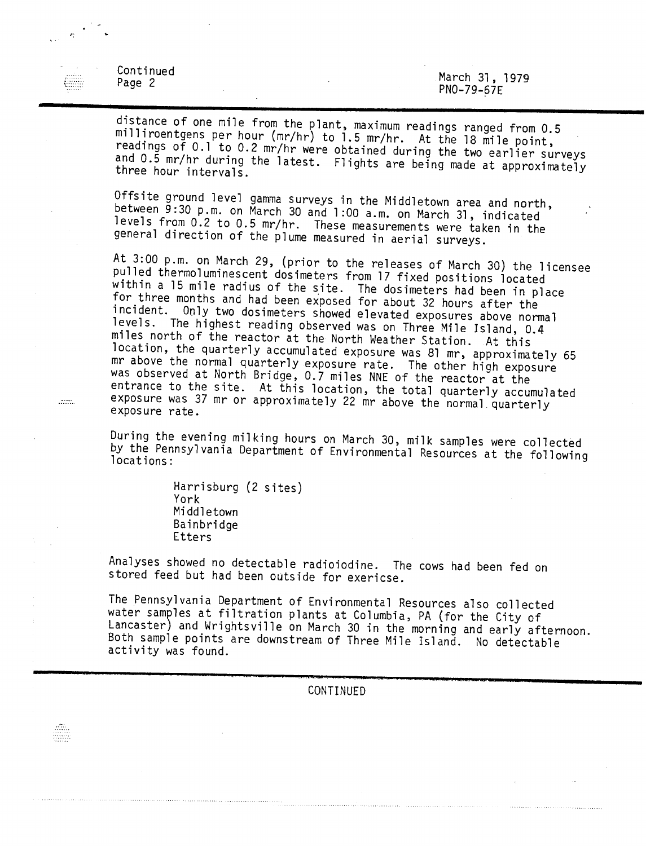| Continued<br>Page 2 |  | PN0-79-67E | March 31, 1979 |  |
|---------------------|--|------------|----------------|--|
|                     |  |            |                |  |

 $\frac{1}{2} \frac{1}{2} \frac{1}{2}$ 

Locality.

distance of one mile from the plant, maximum readings ranged from 0.5 milliroentgens per hour (mr/hr) to 1.5 mr/hr. At the 18 mile point, readings of 0.1 to 0.2 mr/hr were obtained during the two earlier surveys and 0.5 mr/hr during the latest. Flights are being made at approximately three hour intervals.

Offsite ground level gamma surveys in the Middletown area and north, between 9:30 p.m. on March 30 and 1 :00 a.m. on March 31, indicated levels from 0.2 to 0.5 mr/hr. These measurements were taken in the general direction of the plume measured in aerial surveys.

At 3:00 p.m. on March 29, (prior to the releases of March 30) the licensee pulled thermoluminescent dosimeters from 17 fixed positions located within a 15 mile radius of the site. The dosimeters had been in place for three months and had been exposed for about 32 hours after the incident. Only two dosimeters showed elevated exposures above normal<br>levels. The highest reading observed was an Thuse Mile Jol: The highest reading observed was on Three Mile Island, 0.4 miles north of the reactor at the North Weather Station. At this location, the quarterly accumulated exposure was 81 mr, approximately 65 mr above the normal quarterly exposure rate. The other high exposure was observed at North Bridge, 0.7 miles NNE of the reactor at the entrance to the site. At this location, the total quarterly accumulated exposure was 37 mr or approximately 22 mr above the normal quarterly exposure rate.

During the evening milking hours on March 30, milk samples were collected by the Pennsylvania Department of Environmental Resources at the following locations:

> Harrisburg (2 sites) York Middletown Bainbridge Etters

Analyses showed no detectable radioiodine. The cows had been fed on stored feed but had been outside for exericse.

The Pennsylvania Department of Environmental Resources also collected water samples at filtration plants at Columbia, PA (for the City of Lancaster) and Wrightsville on March 30 in the morning and early afternoon. Both sample points are downstream of Three Mile Island. No detectable activity was found.

CONTINUED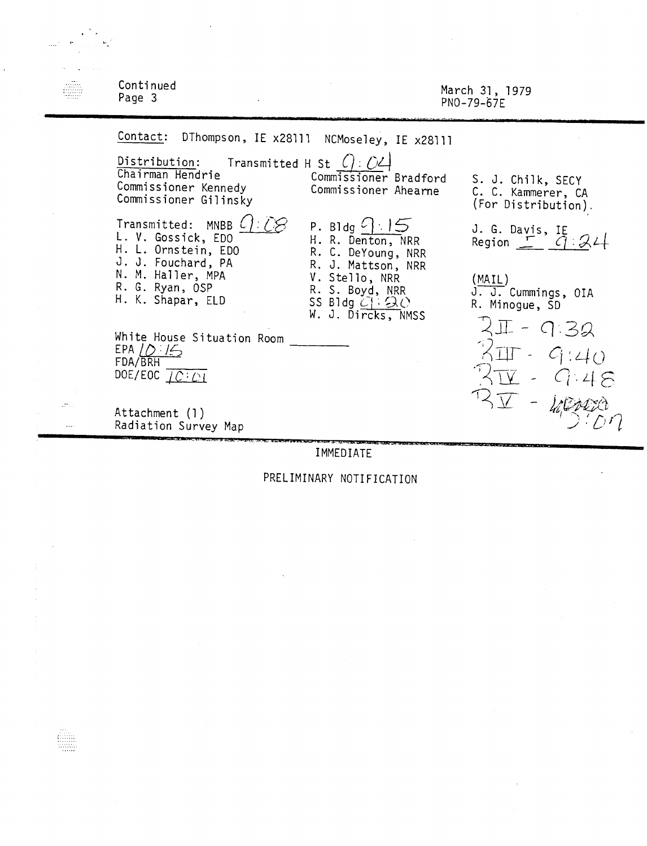| Continued<br>Page 3                                                                                                                                                                                                                                                                                                                                                                                                                                                                |                                                                                                                                                                                                                          | March 31, 1979<br>PN0-79-67E                                                                                                                                                                                                          |
|------------------------------------------------------------------------------------------------------------------------------------------------------------------------------------------------------------------------------------------------------------------------------------------------------------------------------------------------------------------------------------------------------------------------------------------------------------------------------------|--------------------------------------------------------------------------------------------------------------------------------------------------------------------------------------------------------------------------|---------------------------------------------------------------------------------------------------------------------------------------------------------------------------------------------------------------------------------------|
| Contact: DThompson, IE x28111 NCMoseley, IE x28111<br>Distribution: Transmitted H St $( ) : \mathcal{O}4$<br>Chairman Hendrie<br>Commissioner Kennedy<br>Commissioner Gilinsky<br>Transmitted: MNBB L<br>L. V. Gossick, EDO<br>H. L. Ornstein, EDO<br>J. J. Fouchard, PA<br>N. M. Haller, MPA<br>R. G. Ryan, OSP<br>H. K. Shapar, ELD<br>White House Situation Room<br>EPA $10:15$<br>FDA/BRH<br>DOE/EOC $\overline{OC}$ $\overline{OC}$<br>Attachment (1)<br>Radiation Survey Map | Commissioner Bradford<br>Commissioner Ahearne<br>P. Bldg $\frac{1}{5}$<br>H. R. Denton, NRR<br>R. C. DeYoung, NRR<br>R. J. Mattson, NRR<br>V. Stello, NRR<br>R. S. Boyd, NRR<br>SS Bldg $C \cap Q$<br>W. J. Dircks, NMSS | S. J. Chilk, SECY<br>C. C. Kammerer, CA<br>(For Distribution).<br>J. G. Davis, IE<br>Region $T$ $Q:Q$<br>(MAIL)<br>J. J. Cummings, OIA<br>R. Minogue, SD<br>$2\pi - 9.32$<br>$2\pi - 9.40$<br>$2\pi$<br>G.48<br>$B_{\mathrm{F}} - 48$ |

ę

## IMMEDIATE

# PRELIMINARY NOTIFICATION